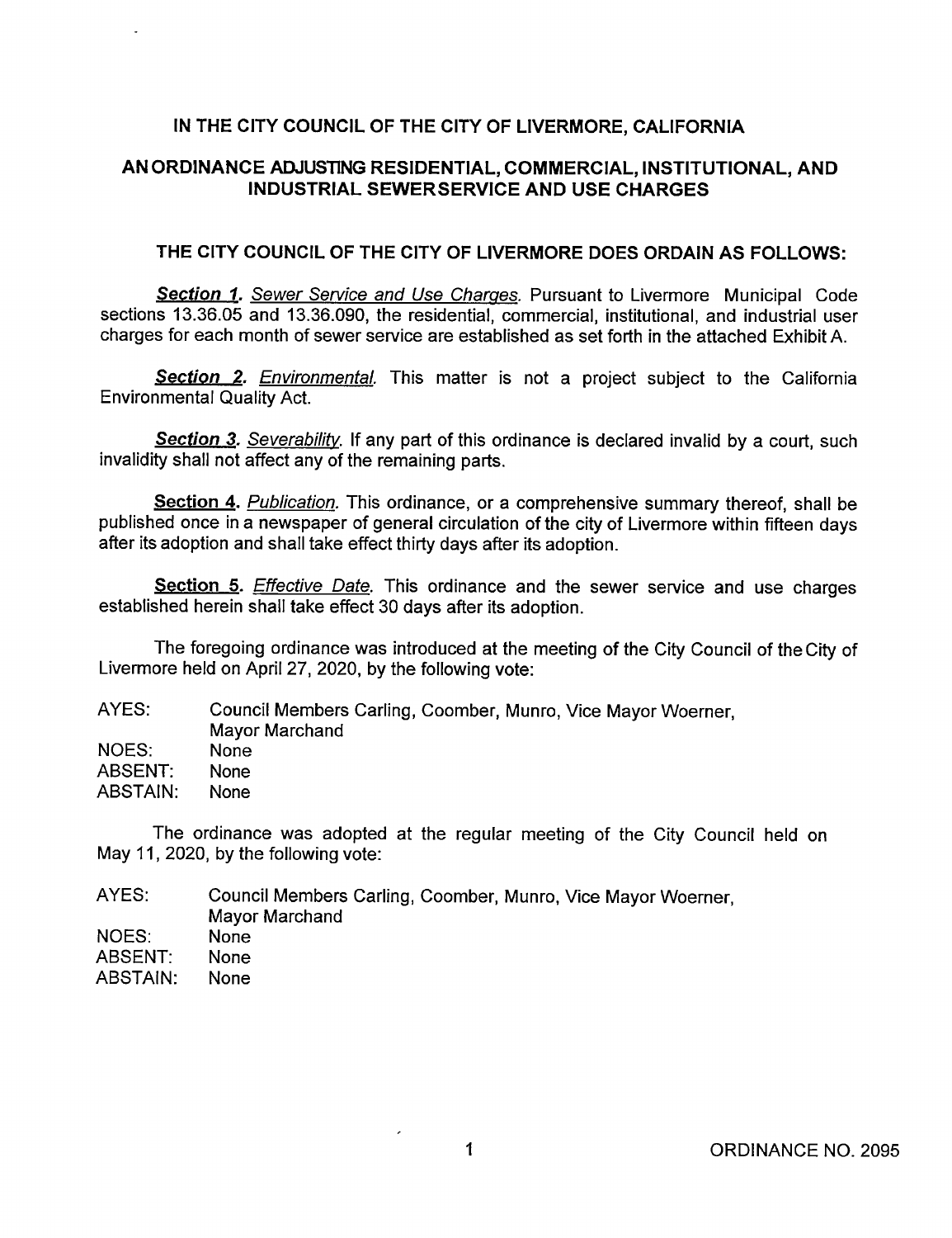#### IN THE CITY COUNCIL OF THE CITY OF LIVERMORE, CALIFORNIA

#### AN ORDINANCE ADJUSTING RESIDENTIAL, COMMERCIAL, INSTITUTIONAL, AND INDUSTRIAL SEWERSERVICE AND USE CHARGES

#### THE CITY COUNCIL OF THE CITY OF LIVERMORE DOES ORDAIN AS FOLLOWS:

Section 1. Sewer Service and Use Charges. Pursuant to Livermore Municipal Code sections 13.36.05 and 13.36.090, the residential, commercial, institutional, and industrial user charges for each month of sewer service are established as set forth in the attached Exhibit A.

Section 2. Environmental. This matter is not a project subject to the California Environmental Quality Act.

**Section 3.** Severability. If any part of this ordinance is declared invalid by a court, such invalidity shall not affect any of the remaining parts.

Section 4. Publication. This ordinance, or a comprehensive summary thereof, shall be published once in a newspaper of general circulation of the city of Livermore within fifteen days after its adoption and shall take effect thirty days after its adoption.

Section 5. Effective Date. This ordinance and the sewer service and use charges established herein shall take effect 30 days after its adoption.

The foregoing ordinance was introduced at the meeting of the City Council of the City of Livermore held on April 27, 2020, by the following vote:

| AYES: | Council Members Carling, Coomber, Munro, Vice Mayor Woerner, |
|-------|--------------------------------------------------------------|
|       | Mayor Marchand                                               |
| NOES: | <b>None</b>                                                  |
| .     |                                                              |

ABSENT: None

ABSTAIN: None

The ordinance was adopted at the regular meeting of the City Council held on May 11, 2020, by the following vote:

| AYES:    | Council Members Carling, Coomber, Munro, Vice Mayor Woerner,<br>Mayor Marchand |
|----------|--------------------------------------------------------------------------------|
| NOES:    | None                                                                           |
| ABSENT:  | None                                                                           |
| ABSTAIN: | <b>None</b>                                                                    |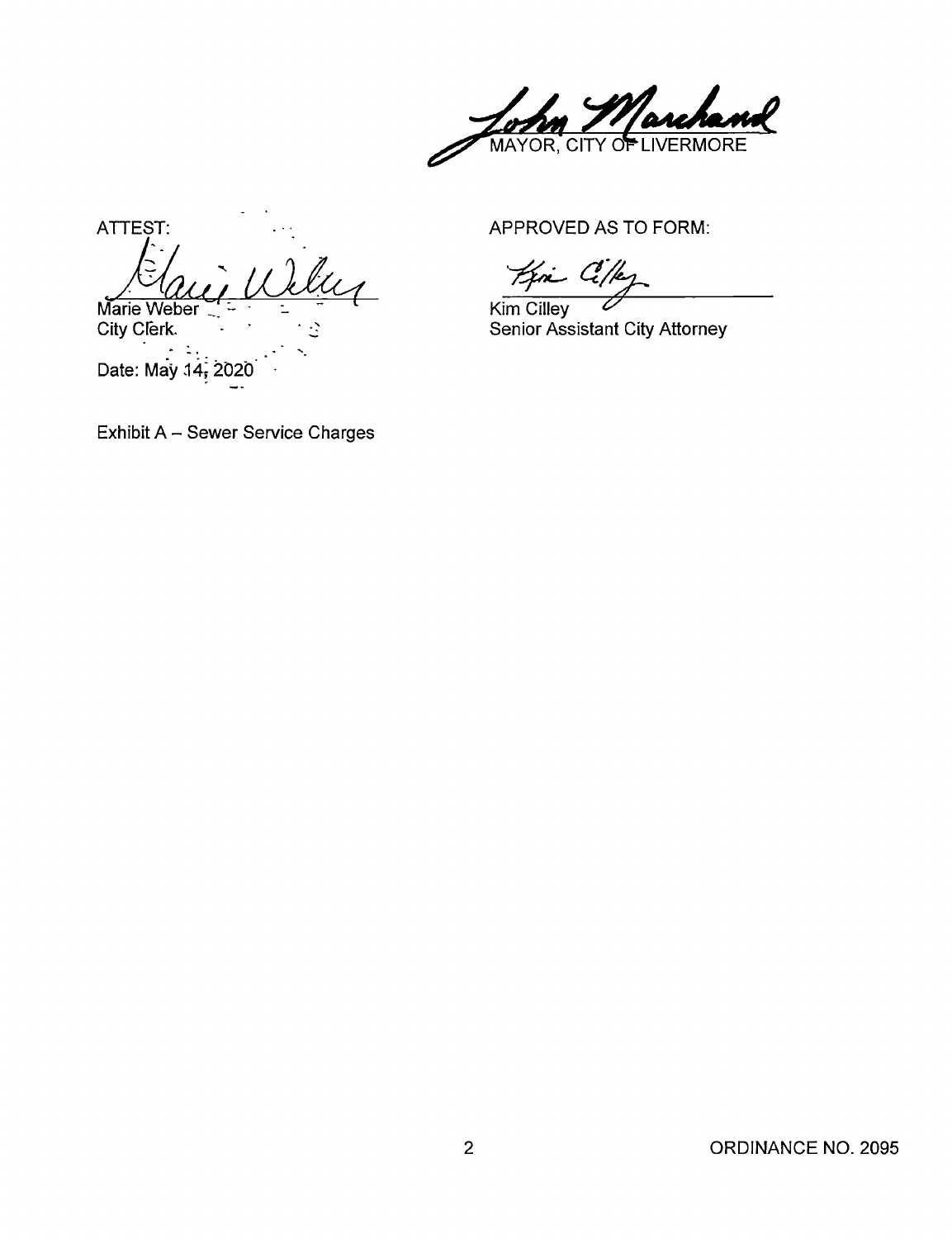archand MAYOR, CITY OF

ATTEST: APPROVED AS TO FORM: Iu Marie Weber  $\frac{1}{2}$   $\frac{1}{2}$   $\frac{1}{2}$  Kim Cilley<br>City Clerk.  $\therefore$ 

Date: May 14; 2020

Kin Cille

Senior Assistant City Attorney

Exhibit A - Sewer Service Charges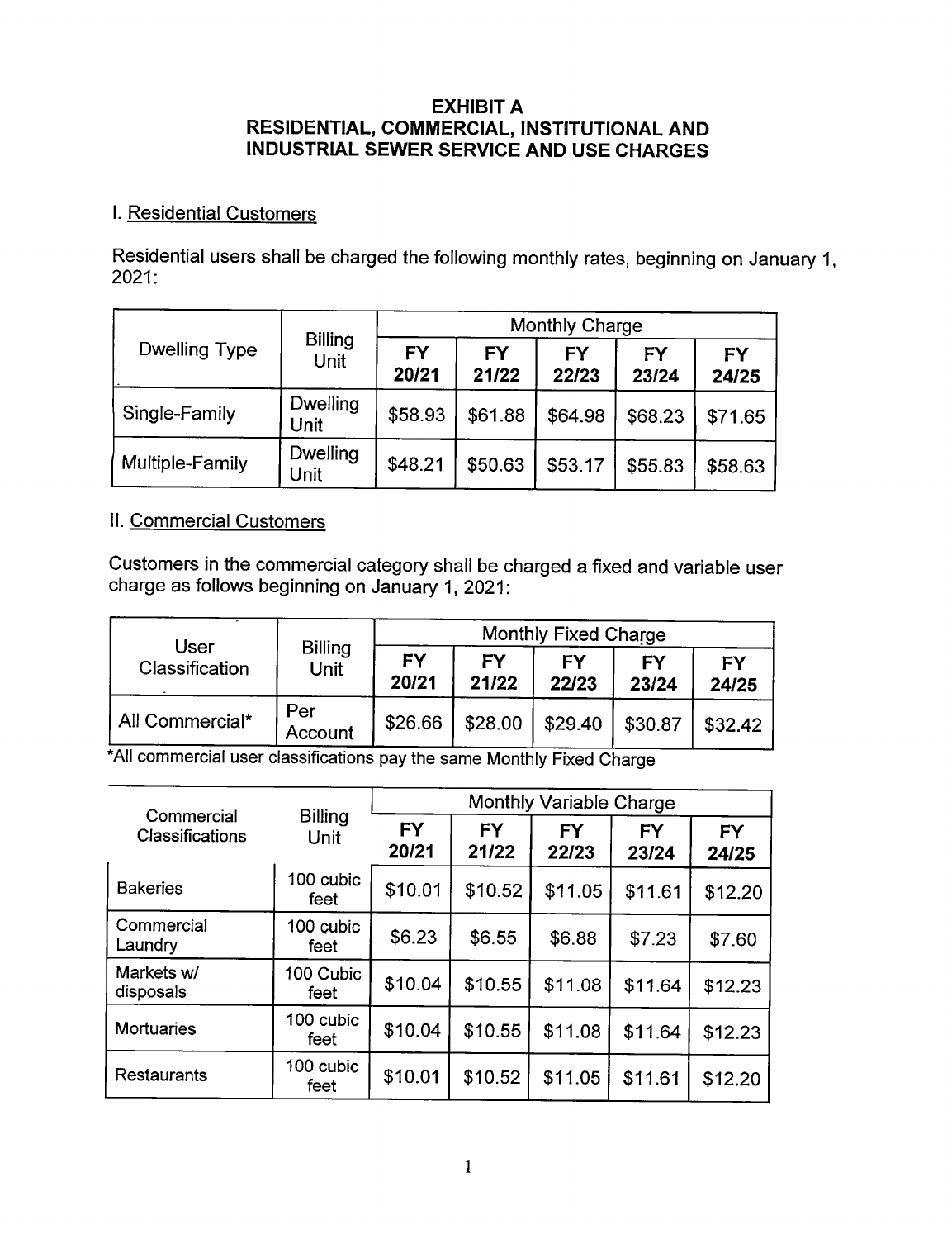#### EXHIBIT A RESIDENTIAL, COMMERCIAL, INSTITUTIONAL AND INDUSTRIAL SEWER SERVICE AND USE CHARGES

### I. Residential Customers

Residential users shall be charged the following monthly rates, beginning on January 1, 2021:

|                      |                         | Monthly Charge     |                    |             |                    |                    |  |
|----------------------|-------------------------|--------------------|--------------------|-------------|--------------------|--------------------|--|
| <b>Dwelling Type</b> | <b>Billing</b><br>Unit  | <b>FY</b><br>20/21 | <b>FY</b><br>21/22 | FY<br>22/23 | <b>FY</b><br>23/24 | <b>FY</b><br>24/25 |  |
| Single-Family        | <b>Dwelling</b><br>Unit | \$58.93            | \$61.88            | \$64.98     | \$68.23            | \$71.65            |  |
| Multiple-Family      | Dwelling<br>Unit        | \$48.21            | \$50.63            | \$53.17     | \$55.83            | \$58.63            |  |

### II. Commercial Customers

Customers in the commercial category shall be charged a fixed and variable user charge as follows beginning on January 1, 2021:

| User            |                        | <b>Monthly Fixed Charge</b> |             |             |             |             |  |
|-----------------|------------------------|-----------------------------|-------------|-------------|-------------|-------------|--|
| Classification  | <b>Billing</b><br>Unit | FY<br>20/21                 | FΥ<br>21/22 | FΥ<br>22/23 | FY<br>23/24 | FY<br>24/25 |  |
| All Commercial* | Per<br>Account         | \$26.66                     | \$28.00     | \$29.40     | \$30.87     | \$32.42     |  |

All commercial user classifications pay the same Monthly Fixed Charge

| Commercial                              | <b>Billing</b>    | <b>Monthly Variable Charge</b> |                    |                    |                    |                    |  |  |
|-----------------------------------------|-------------------|--------------------------------|--------------------|--------------------|--------------------|--------------------|--|--|
| Classifications                         | Unit              | <b>FY</b><br>20/21             | <b>FY</b><br>21/22 | <b>FY</b><br>22/23 | <b>FY</b><br>23/24 | <b>FY</b><br>24/25 |  |  |
| <b>Bakeries</b>                         | 100 cubic<br>feet | \$10.01                        | \$10.52            | \$11.05            | \$11.61            | \$12.20            |  |  |
| Commercial<br>Laundry                   | 100 cubic<br>feet | \$6.23                         | \$6.55             | \$6.88             | \$7.23             | \$7.60             |  |  |
| Markets w/<br>disposals                 | 100 Cubic<br>feet | \$10.04                        | \$10.55            | \$11.08            | \$11.64            | \$12.23            |  |  |
| 100 cubic<br><b>Mortuaries</b><br>feet  |                   | \$10.04                        | \$10.55            | \$11.08            | \$11.64            | \$12.23            |  |  |
| 100 cubic<br><b>Restaurants</b><br>feet |                   | \$10.01                        | \$10.52            | \$11.05            | \$11.61            | \$12.20            |  |  |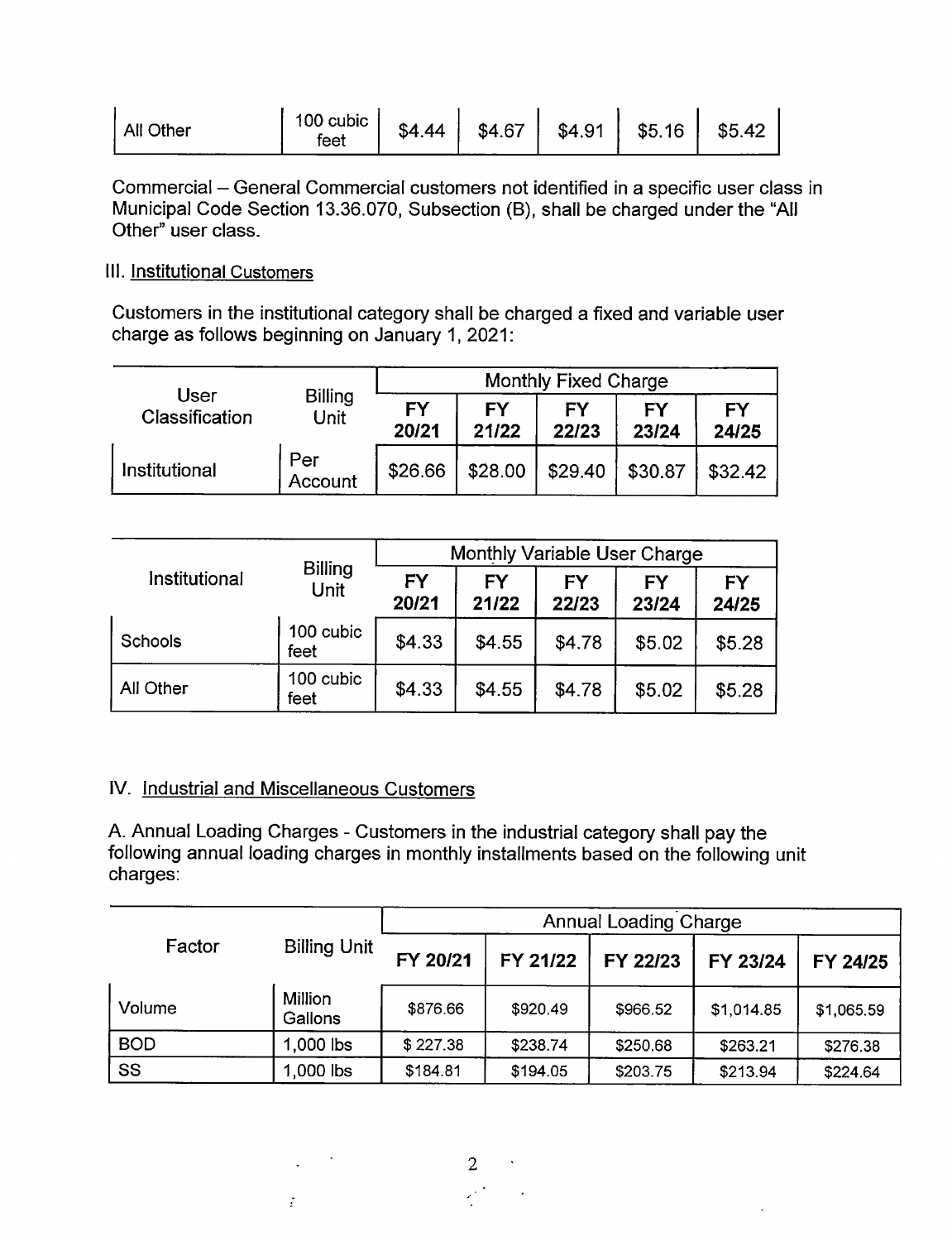| All Other | 100 cubic<br>feet | \$4.44 | \$4.67 | \$4.91 | \$5.16 | \$5.42 |
|-----------|-------------------|--------|--------|--------|--------|--------|
|-----------|-------------------|--------|--------|--------|--------|--------|

Commercial - General Commercial customers not identified in a specific user class in Municipal Code Section 13.36.070, Subsection (B), shall be charged under the "All Other" user class.

## Ill. Institutional Customers

Customers in the institutional category shall be charged a fixed and variable user charge as follows beginning on January 1, 2021:

|                |                                       | <b>Monthly Fixed Charge</b> |                    |             |             |                    |  |
|----------------|---------------------------------------|-----------------------------|--------------------|-------------|-------------|--------------------|--|
| Classification | <b>User</b><br><b>Billing</b><br>Unit |                             | <b>FY</b><br>21/22 | FΥ<br>22/23 | FY<br>23/24 | <b>FY</b><br>24/25 |  |
| Institutional  | Per<br>Account                        | \$26.66                     | \$28.00            | \$29.40     | \$30.87     | \$32.42            |  |

|               |                        | Monthly Variable User Charge |                    |             |                    |                    |  |  |
|---------------|------------------------|------------------------------|--------------------|-------------|--------------------|--------------------|--|--|
| Institutional | <b>Billing</b><br>Unit | <b>FY</b><br>20/21           | <b>FY</b><br>21/22 | FΥ<br>22/23 | <b>FY</b><br>23/24 | <b>FY</b><br>24/25 |  |  |
| Schools       | 100 cubic<br>feet      | \$4.33                       | \$4.55             | \$4.78      | \$5.02             | \$5.28             |  |  |
| All Other     | 100 cubic<br>feet      | \$4.33                       | \$4.55             | \$4.78      | \$5.02             | \$5.28             |  |  |

#### IV. Industrial and Miscellaneous Customers

 $\mathbb{P}^1$ 

A. Annual Loading Charges - Customers in the industrial category shall pay the following annual loading charges in monthly installments based on the following unit charges:

|            |                           | <b>Annual Loading Charge</b> |          |          |            |            |  |
|------------|---------------------------|------------------------------|----------|----------|------------|------------|--|
| Factor     | <b>Billing Unit</b>       | FY 20/21                     | FY 21/22 | FY 22/23 | FY 23/24   | FY 24/25   |  |
| Volume     | <b>Million</b><br>Gallons | \$876.66                     | \$920.49 | \$966.52 | \$1,014.85 | \$1,065.59 |  |
| <b>BOD</b> | $1,000$ lbs               | \$227.38                     | \$238.74 | \$250.68 | \$263.21   | \$276.38   |  |
| SS         | 1,000 lbs                 | \$184.81                     | \$194.05 | \$203.75 | \$213.94   | \$224.64   |  |

2 •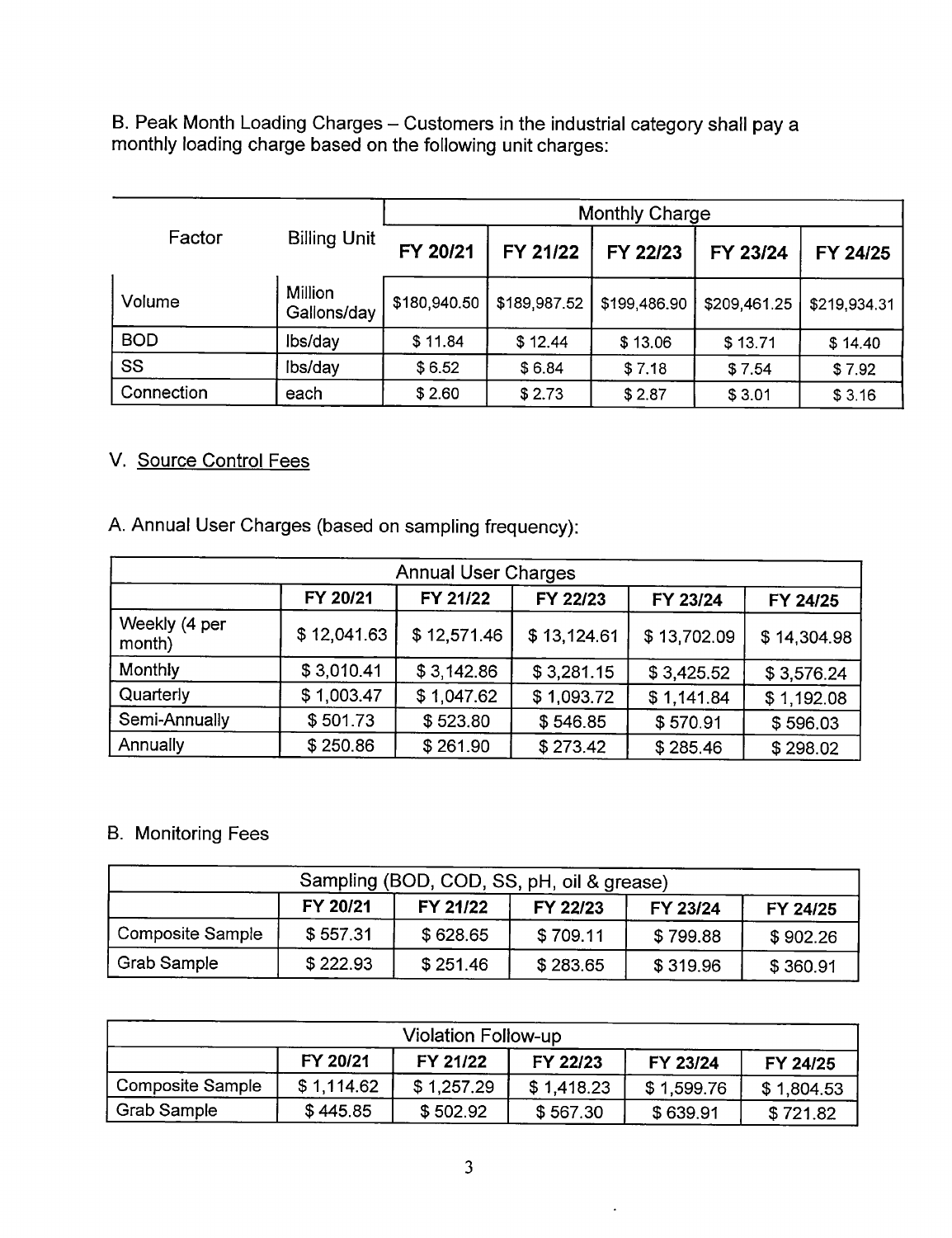B. Peak Month Loading Charges – Customers in the industrial category shall pay a monthly loading charge based on the following unit charges:

|            |                        |              | Monthly Charge |              |              |              |  |  |
|------------|------------------------|--------------|----------------|--------------|--------------|--------------|--|--|
| Factor     | <b>Billing Unit</b>    | FY 20/21     | FY 21/22       | FY 22/23     | FY 23/24     | FY 24/25     |  |  |
| Volume     | Million<br>Gallons/day | \$180,940.50 | \$189,987.52   | \$199,486.90 | \$209,461.25 | \$219,934.31 |  |  |
| <b>BOD</b> | lbs/day                | \$11.84      | \$12.44        | \$13.06      | \$13.71      | \$14.40      |  |  |
| SS         | Ibs/day                | \$6.52       | \$6.84         | \$7.18       | \$7.54       | \$7.92       |  |  |
| Connection | each                   | \$2.60       | \$2.73         | \$2.87       | \$3.01       | \$3.16       |  |  |

## V. Source Control Fees

| <b>Annual User Charges</b> |             |             |             |             |             |  |  |  |  |
|----------------------------|-------------|-------------|-------------|-------------|-------------|--|--|--|--|
|                            | FY 20/21    | FY 21/22    | FY 22/23    | FY 23/24    | FY 24/25    |  |  |  |  |
| Weekly (4 per<br>month)    | \$12,041.63 | \$12,571.46 | \$13,124.61 | \$13,702.09 | \$14,304.98 |  |  |  |  |
| Monthly                    | \$3,010.41  | \$3,142.86  | \$3,281.15  | \$3,425.52  | \$3,576.24  |  |  |  |  |
| Quarterly                  | \$1,003.47  | \$1,047.62  | \$1,093.72  | \$1,141.84  | \$1,192.08  |  |  |  |  |
| Semi-Annually              | \$501.73    | \$523.80    | \$546.85    | \$570.91    | \$596.03    |  |  |  |  |
| Annually                   | \$250.86    | \$261.90    | \$273.42    | \$285.46    | \$298.02    |  |  |  |  |

## B. Monitoring Fees

| Sampling (BOD, COD, SS, pH, oil & grease)                |          |          |          |          |          |  |  |  |
|----------------------------------------------------------|----------|----------|----------|----------|----------|--|--|--|
| FY 20/21<br>FY 21/22<br>FY 22/23<br>FY 23/24<br>FY 24/25 |          |          |          |          |          |  |  |  |
| <b>Composite Sample</b>                                  | \$557.31 | \$628.65 | \$709.11 | \$799.88 | \$902.26 |  |  |  |
| Grab Sample                                              | \$222.93 | \$251.46 | \$283.65 | \$319.96 | \$360.91 |  |  |  |

| Violation Follow-up                                      |                                                          |            |            |            |            |  |  |
|----------------------------------------------------------|----------------------------------------------------------|------------|------------|------------|------------|--|--|
| FY 20/21<br>FY 21/22<br>FY 22/23<br>FY 23/24<br>FY 24/25 |                                                          |            |            |            |            |  |  |
| Composite Sample                                         | \$1,114.62                                               | \$1,257.29 | \$1,418.23 | \$1,599.76 | \$1,804.53 |  |  |
| Grab Sample                                              | \$445.85<br>\$502.92<br>\$567.30<br>\$639.91<br>\$721.82 |            |            |            |            |  |  |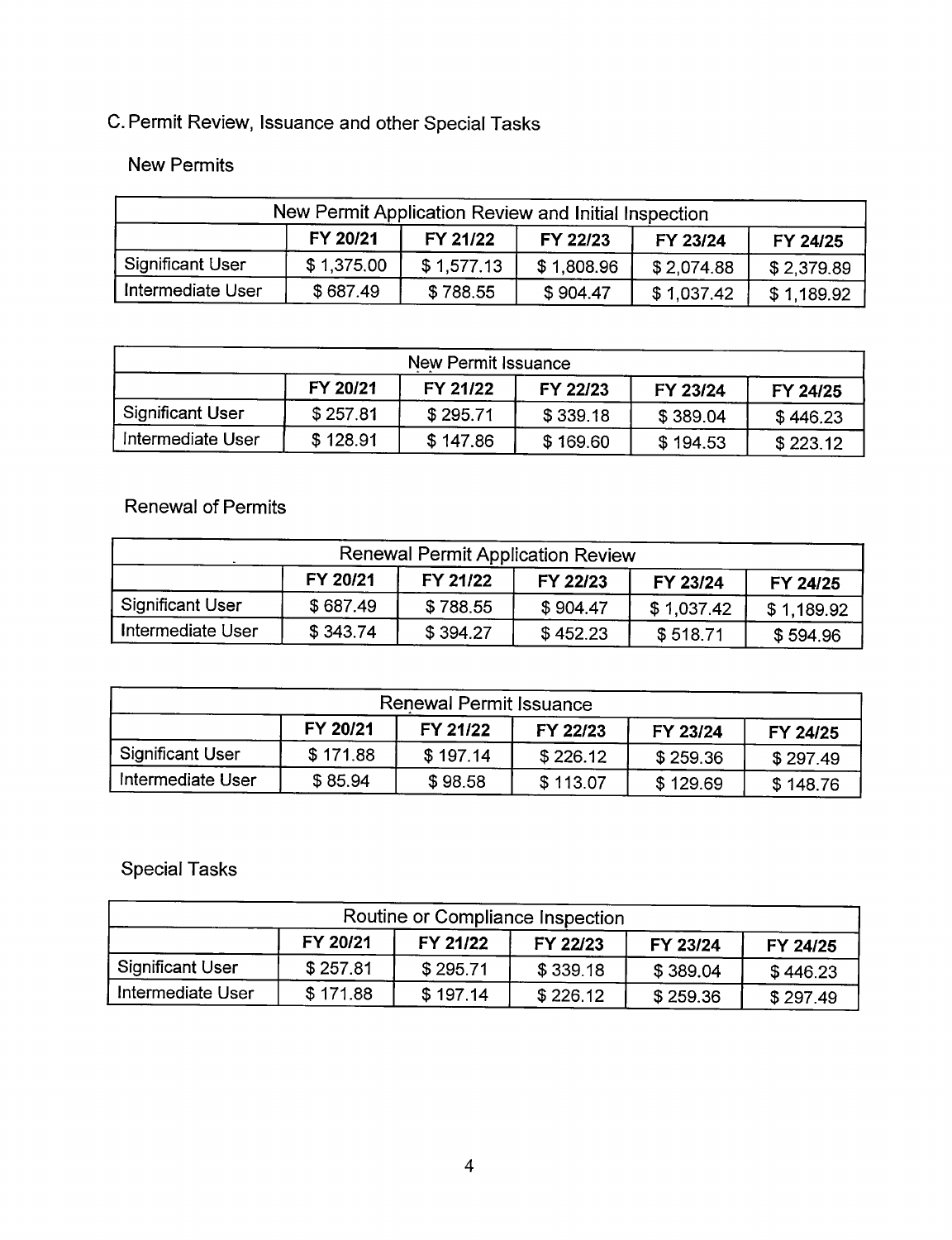# C. Permit Review, Issuance and other Special Tasks

## New Permits

| New Permit Application Review and Initial Inspection     |            |            |            |            |            |  |  |
|----------------------------------------------------------|------------|------------|------------|------------|------------|--|--|
| FY 20/21<br>FY 21/22<br>FY 22/23<br>FY 23/24<br>FY 24/25 |            |            |            |            |            |  |  |
| Significant User                                         | \$1,375.00 | \$1,577.13 | \$1,808.96 | \$2,074.88 | \$2,379.89 |  |  |
| Intermediate User                                        | \$687.49   | \$788.55   | \$904.47   | \$1,037.42 | \$1,189.92 |  |  |

| New Permit Issuance |          |          |          |          |          |  |  |
|---------------------|----------|----------|----------|----------|----------|--|--|
|                     | FY 20/21 | FY 21/22 | FY 22/23 | FY 23/24 | FY 24/25 |  |  |
| Significant User    | \$257.81 | \$295.71 | \$339.18 | \$389.04 | \$446.23 |  |  |
| Intermediate User   | \$128.91 | \$147.86 | \$169.60 | \$194.53 | \$223.12 |  |  |

## Renewal of Permits

| Renewal Permit Application Review                        |          |          |          |            |            |  |  |
|----------------------------------------------------------|----------|----------|----------|------------|------------|--|--|
| FY 20/21<br>FY 21/22<br>FY 22/23<br>FY 23/24<br>FY 24/25 |          |          |          |            |            |  |  |
| , Significant User                                       | \$687.49 | \$788.55 | \$904.47 | \$1,037.42 | \$1,189.92 |  |  |
| Intermediate User                                        | \$343.74 | \$394.27 | \$452.23 | \$518.71   | \$594.96   |  |  |

| Renewal Permit Issuance                                  |          |          |          |          |          |  |  |
|----------------------------------------------------------|----------|----------|----------|----------|----------|--|--|
| FY 20/21<br>FY 21/22<br>FY 22/23<br>FY 23/24<br>FY 24/25 |          |          |          |          |          |  |  |
| , Significant User                                       | \$171.88 | \$197.14 | \$226.12 | \$259.36 | \$297.49 |  |  |
| Intermediate User                                        | \$85.94  | \$98.58  | \$113.07 | \$129.69 | \$148.76 |  |  |

## Special Tasks

| Routine or Compliance Inspection |          |          |          |          |          |  |  |
|----------------------------------|----------|----------|----------|----------|----------|--|--|
|                                  | FY 20/21 | FY 21/22 | FY 22/23 | FY 23/24 | FY 24/25 |  |  |
| Significant User                 | \$257.81 | \$295.71 | \$339.18 | \$389.04 | \$446.23 |  |  |
| Intermediate User                | \$171.88 | \$197.14 | \$226.12 | \$259.36 | \$297.49 |  |  |